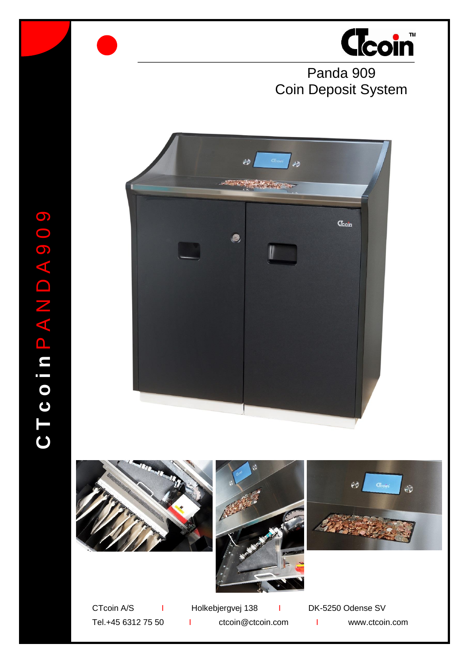

Panda 909 Coin Deposit System









CTcoin A/S I Holkebjergvej 138 I DK-5250 Odense SV

Tel.+45 6312 75 50 I ctcoin@ctcoin.com I www.ctcoin.com